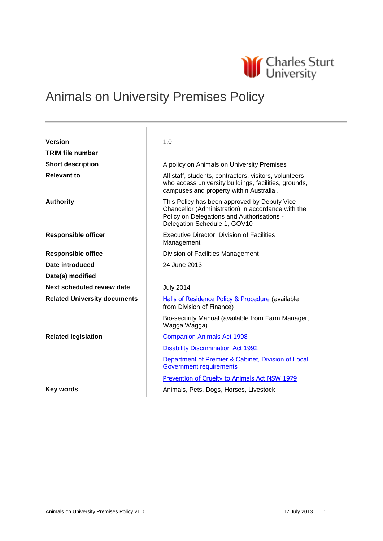

# Animals on University Premises Policy

| <b>Version</b>                      | 1.0                                                                                                                                                                              |
|-------------------------------------|----------------------------------------------------------------------------------------------------------------------------------------------------------------------------------|
| <b>TRIM file number</b>             |                                                                                                                                                                                  |
| <b>Short description</b>            | A policy on Animals on University Premises                                                                                                                                       |
| <b>Relevant to</b>                  | All staff, students, contractors, visitors, volunteers<br>who access university buildings, facilities, grounds,<br>campuses and property within Australia.                       |
| <b>Authority</b>                    | This Policy has been approved by Deputy Vice<br>Chancellor (Administration) in accordance with the<br>Policy on Delegations and Authorisations -<br>Delegation Schedule 1, GOV10 |
| <b>Responsible officer</b>          | <b>Executive Director, Division of Facilities</b><br>Management                                                                                                                  |
| <b>Responsible office</b>           | Division of Facilities Management                                                                                                                                                |
| Date introduced                     | 24 June 2013                                                                                                                                                                     |
| Date(s) modified                    |                                                                                                                                                                                  |
| Next scheduled review date          | <b>July 2014</b>                                                                                                                                                                 |
| <b>Related University documents</b> | Halls of Residence Policy & Procedure (available<br>from Division of Finance)                                                                                                    |
|                                     | Bio-security Manual (available from Farm Manager,<br>Wagga Wagga)                                                                                                                |
| <b>Related legislation</b>          | <b>Companion Animals Act 1998</b>                                                                                                                                                |
|                                     | <b>Disability Discrimination Act 1992</b>                                                                                                                                        |
|                                     | Department of Premier & Cabinet, Division of Local<br><b>Government requirements</b>                                                                                             |
|                                     | Prevention of Cruelty to Animals Act NSW 1979                                                                                                                                    |
| <b>Key words</b>                    | Animals, Pets, Dogs, Horses, Livestock                                                                                                                                           |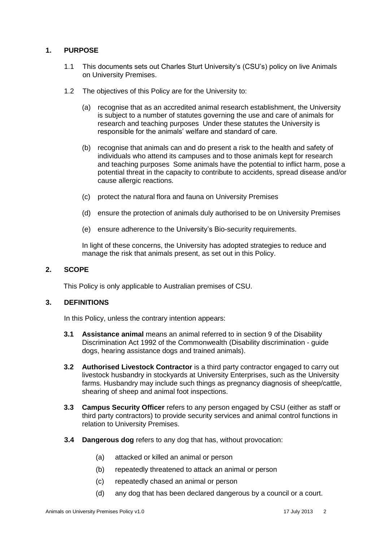### **1. PURPOSE**

- 1.1 This documents sets out Charles Sturt University's (CSU's) policy on live Animals on University Premises.
- 1.2 The objectives of this Policy are for the University to:
	- (a) recognise that as an accredited animal research establishment, the University is subject to a number of statutes governing the use and care of animals for research and teaching purposes Under these statutes the University is responsible for the animals' welfare and standard of care.
	- (b) recognise that animals can and do present a risk to the health and safety of individuals who attend its campuses and to those animals kept for research and teaching purposes Some animals have the potential to inflict harm, pose a potential threat in the capacity to contribute to accidents, spread disease and/or cause allergic reactions.
	- (c) protect the natural flora and fauna on University Premises
	- (d) ensure the protection of animals duly authorised to be on University Premises
	- (e) ensure adherence to the University's Bio-security requirements.

In light of these concerns, the University has adopted strategies to reduce and manage the risk that animals present, as set out in this Policy.

### **2. SCOPE**

This Policy is only applicable to Australian premises of CSU.

#### **3. DEFINITIONS**

In this Policy, unless the contrary intention appears:

- **3.1 Assistance animal** means an animal referred to in section 9 of the [Disability](http://www.austlii.edu.au/au/legis/cth/consol_act/dda1992264/)  [Discrimination Act 1992](http://www.austlii.edu.au/au/legis/cth/consol_act/dda1992264/) of the Commonwealth (Disability discrimination - guide dogs, hearing assistance dogs and trained animals).
- **3.2 Authorised Livestock Contractor** is a third party contractor engaged to carry out livestock husbandry in stockyards at University Enterprises, such as the University farms. Husbandry may include such things as pregnancy diagnosis of sheep/cattle, shearing of sheep and animal foot inspections.
- **3.3 Campus Security Officer** refers to any person engaged by CSU (either as staff or third party contractors) to provide security services and animal control functions in relation to University Premises.
- **3.4 Dangerous dog** refers to any dog that has, without provocation:
	- (a) attacked or killed an animal or person
	- (b) repeatedly threatened to attack an animal or person
	- (c) repeatedly chased an animal or person
	- (d) any dog that has been declared dangerous by a council or a court.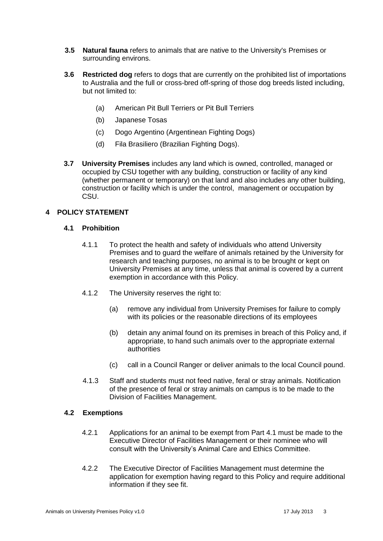- **3.5 Natural fauna** refers to animals that are native to the University's Premises or surrounding environs.
- **3.6 Restricted dog** refers to dogs that are currently on the prohibited list of importations to Australia and the full or cross-bred off-spring of those dog breeds listed including, but not limited to:
	- (a) American Pit Bull Terriers or Pit Bull Terriers
	- (b) Japanese Tosas
	- (c) Dogo Argentino (Argentinean Fighting Dogs)
	- (d) Fila Brasiliero (Brazilian Fighting Dogs).
- **3.7 University Premises** includes any land which is owned, controlled, managed or occupied by CSU together with any building, construction or facility of any kind (whether permanent or temporary) on that land and also includes any other building, construction or facility which is under the control, management or occupation by CSU.

## **4 POLICY STATEMENT**

### **4.1 Prohibition**

- 4.1.1 To protect the health and safety of individuals who attend University Premises and to guard the welfare of animals retained by the University for research and teaching purposes, no animal is to be brought or kept on University Premises at any time, unless that animal is covered by a current exemption in accordance with this Policy.
- 4.1.2 The University reserves the right to:
	- (a) remove any individual from University Premises for failure to comply with its policies or the reasonable directions of its employees
	- (b) detain any animal found on its premises in breach of this Policy and, if appropriate, to hand such animals over to the appropriate external authorities
	- (c) call in a Council Ranger or deliver animals to the local Council pound.
- 4.1.3 Staff and students must not feed native, feral or stray animals. Notification of the presence of feral or stray animals on campus is to be made to the Division of Facilities Management.

### **4.2 Exemptions**

- 4.2.1 Applications for an animal to be exempt from Part 4.1 must be made to the Executive Director of Facilities Management or their nominee who will consult with the University's Animal Care and Ethics Committee.
- 4.2.2 The Executive Director of Facilities Management must determine the application for exemption having regard to this Policy and require additional information if they see fit.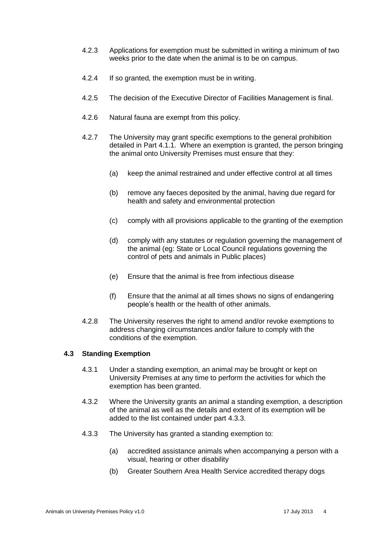- 4.2.3 Applications for exemption must be submitted in writing a minimum of two weeks prior to the date when the animal is to be on campus.
- 4.2.4 If so granted, the exemption must be in writing.
- 4.2.5 The decision of the Executive Director of Facilities Management is final.
- 4.2.6 Natural fauna are exempt from this policy.
- 4.2.7 The University may grant specific exemptions to the general prohibition detailed in Part 4.1.1. Where an exemption is granted, the person bringing the animal onto University Premises must ensure that they:
	- (a) keep the animal restrained and under effective control at all times
	- (b) remove any faeces deposited by the animal, having due regard for health and safety and environmental protection
	- (c) comply with all provisions applicable to the granting of the exemption
	- (d) comply with any statutes or regulation governing the management of the animal (eg: State or Local Council regulations governing the control of pets and animals in Public places)
	- (e) Ensure that the animal is free from infectious disease
	- (f) Ensure that the animal at all times shows no signs of endangering people's health or the health of other animals.
- 4.2.8 The University reserves the right to amend and/or revoke exemptions to address changing circumstances and/or failure to comply with the conditions of the exemption.

### **4.3 Standing Exemption**

- 4.3.1 Under a standing exemption, an animal may be brought or kept on University Premises at any time to perform the activities for which the exemption has been granted.
- 4.3.2 Where the University grants an animal a standing exemption, a description of the animal as well as the details and extent of its exemption will be added to the list contained under part 4.3.3.
- 4.3.3 The University has granted a standing exemption to:
	- (a) accredited assistance animals when accompanying a person with a visual, hearing or other disability
	- (b) Greater Southern Area Health Service accredited therapy dogs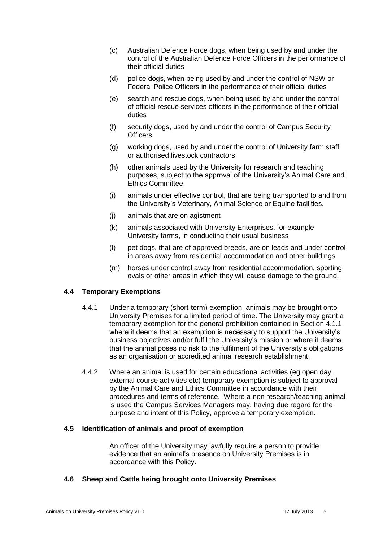- (c) Australian Defence Force dogs, when being used by and under the control of the Australian Defence Force Officers in the performance of their official duties
- (d) police dogs, when being used by and under the control of NSW or Federal Police Officers in the performance of their official duties
- (e) search and rescue dogs, when being used by and under the control of official rescue services officers in the performance of their official duties
- (f) security dogs, used by and under the control of Campus Security **Officers**
- (g) working dogs, used by and under the control of University farm staff or authorised livestock contractors
- (h) other animals used by the University for research and teaching purposes, subject to the approval of the University's Animal Care and Ethics Committee
- (i) animals under effective control, that are being transported to and from the University's Veterinary, Animal Science or Equine facilities.
- (j) animals that are on agistment
- (k) animals associated with University Enterprises, for example University farms, in conducting their usual business
- (l) pet dogs, that are of approved breeds, are on leads and under control in areas away from residential accommodation and other buildings
- (m) horses under control away from residential accommodation, sporting ovals or other areas in which they will cause damage to the ground.

### **4.4 Temporary Exemptions**

- 4.4.1 Under a temporary (short-term) exemption, animals may be brought onto University Premises for a limited period of time. The University may grant a temporary exemption for the general prohibition contained in Section 4.1.1 where it deems that an exemption is necessary to support the University's business objectives and/or fulfil the University's mission or where it deems that the animal poses no risk to the fulfilment of the University's obligations as an organisation or accredited animal research establishment.
- 4.4.2 Where an animal is used for certain educational activities (eg open day, external course activities etc) temporary exemption is subject to approval by the Animal Care and Ethics Committee in accordance with their procedures and terms of reference. Where a non research/teaching animal is used the Campus Services Managers may, having due regard for the purpose and intent of this Policy, approve a temporary exemption.

#### **4.5 Identification of animals and proof of exemption**

An officer of the University may lawfully require a person to provide evidence that an animal's presence on University Premises is in accordance with this Policy.

### **4.6 Sheep and Cattle being brought onto University Premises**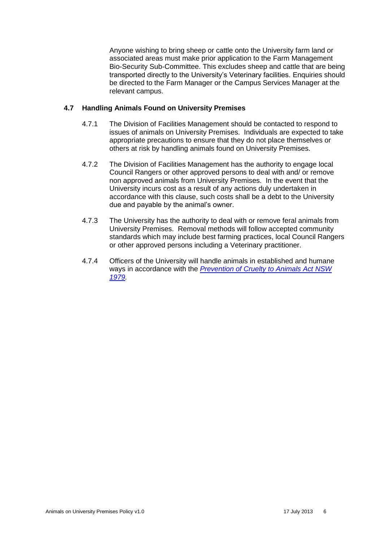Anyone wishing to bring sheep or cattle onto the University farm land or associated areas must make prior application to the Farm Management Bio-Security Sub-Committee. This excludes sheep and cattle that are being transported directly to the University's Veterinary facilities. Enquiries should be directed to the Farm Manager or the Campus Services Manager at the relevant campus.

## **4.7 Handling Animals Found on University Premises**

- 4.7.1 The Division of Facilities Management should be contacted to respond to issues of animals on University Premises. Individuals are expected to take appropriate precautions to ensure that they do not place themselves or others at risk by handling animals found on University Premises.
- 4.7.2 The Division of Facilities Management has the authority to engage local Council Rangers or other approved persons to deal with and/ or remove non approved animals from University Premises. In the event that the University incurs cost as a result of any actions duly undertaken in accordance with this clause, such costs shall be a debt to the University due and payable by the animal's owner.
- 4.7.3 The University has the authority to deal with or remove feral animals from University Premises. Removal methods will follow accepted community standards which may include best farming practices, local Council Rangers or other approved persons including a Veterinary practitioner.
- 4.7.4 Officers of the University will handle animals in established and humane ways in accordance with the *[Prevention of Cruelty to Animals Act](http://www.austlii.edu.au/au/legis/nsw/consol_act/poctaa1979360/) NSW [1979.](http://www.austlii.edu.au/au/legis/nsw/consol_act/poctaa1979360/)*